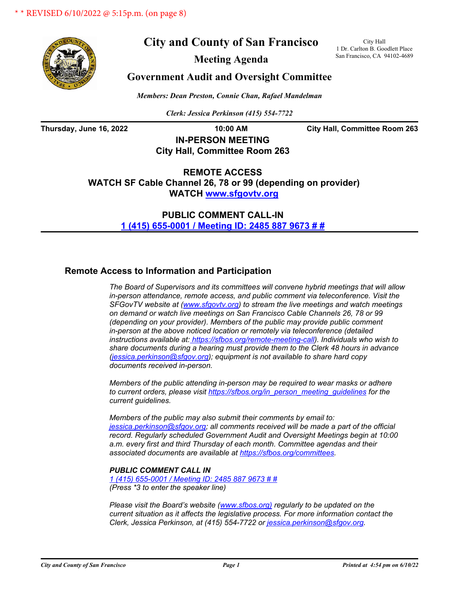

# **City and County of San Francisco**

City Hall 1 Dr. Carlton B. Goodlett Place San Francisco, CA 94102-4689

**Meeting Agenda**

## **Government Audit and Oversight Committee**

*Members: Dean Preston, Connie Chan, Rafael Mandelman*

*Clerk: Jessica Perkinson (415) 554-7722*

**Thursday, June 16, 2022 10:00 AM City Hall, Committee Room 263**

# **IN-PERSON MEETING City Hall, Committee Room 263**

**REMOTE ACCESS WATCH SF Cable Channel 26, 78 or 99 (depending on provider) WATC[H www.sfgovtv.org](www.sfgovtv.org)**

> **PUBLIC COMMENT CALL-IN [1 \(415\) 655-0001 / Meeting ID: 2485 887 9673 # #](1 (415) 655-0001 / Meeting ID: 2485 887 9673 # #)**

## **Remote Access to Information and Participation**

*The Board of Supervisors and its committees will convene hybrid meetings that will allow in-person attendance, remote access, and public comment via teleconference. Visit the SFGovTV website at [\(www.sfgovtv.org\)](www.sfgovtv.org) to stream the live meetings and watch meetings on demand or watch live meetings on San Francisco Cable Channels 26, 78 or 99 (depending on your provider). Members of the public may provide public comment in-person at the above noticed location or remotely via teleconference (detailed instructions available at: [https://sfbos.org/remote-meeting-call\)](https://sfbos.org/remote-meeting-call). Individuals who wish to share documents during a hearing must provide them to the Clerk 48 hours in advance [\(jessica.perkinson@sfgov.org\)](mailto:jessica.perkinson@sfgov.org); equipment is not available to share hard copy documents received in-person.*

*Members of the public attending in-person may be required to wear masks or adhere to current orders, please visi[t https://sfbos.org/in\\_person\\_meeting\\_guidelines f](https://sfbos.org/in_person_meeting_guidelines)or the current guidelines.*

*Members of the public may also submit their comments by email to: [jessica.perkinson@sfgov.org;](mailto:jessica.perkinson@sfgov.org) all comments received will be made a part of the official record. Regularly scheduled Government Audit and Oversight Meetings begin at 10:00 a.m. every first and third Thursday of each month. Committee agendas and their associated documents are available at [https://sfbos.org/committees.](https://sfbos.org/committees)*

## *PUBLIC COMMENT CALL IN*

*[1 \(415\) 655-0001 / Meeting ID: 2485 887 9673 # #](1 (415) 655-0001 / Meeting ID: 2485 887 9673 # #) (Press \*3 to enter the speaker line)*

*Please visit the Board's website [\(www.sfbos.org\)](www.sfbos.org) regularly to be updated on the current situation as it affects the legislative process. For more information contact the Clerk, Jessica Perkinson, at (415) 554-7722 [or jessica.perkinson@sfgov.org.](mailto:jessica.perkinson@sfgov.org)*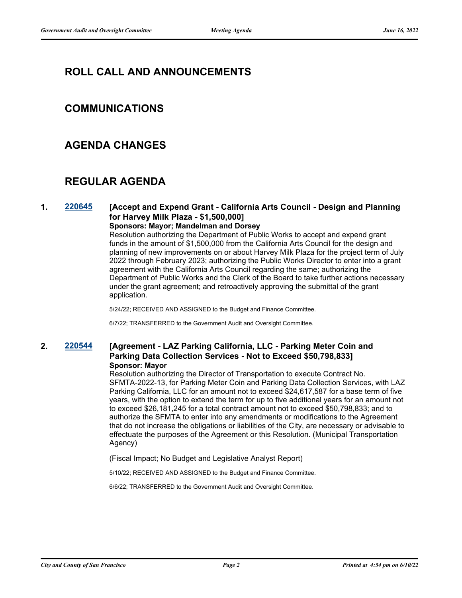# **ROLL CALL AND ANNOUNCEMENTS**

# **COMMUNICATIONS**

# **AGENDA CHANGES**

# **REGULAR AGENDA**

## **1. [220645](http://sfgov.legistar.com/gateway.aspx?m=l&id=38837) [Accept and Expend Grant - California Arts Council - Design and Planning for Harvey Milk Plaza - \$1,500,000]**

### **Sponsors: Mayor; Mandelman and Dorsey**

Resolution authorizing the Department of Public Works to accept and expend grant funds in the amount of \$1,500,000 from the California Arts Council for the design and planning of new improvements on or about Harvey Milk Plaza for the project term of July 2022 through February 2023; authorizing the Public Works Director to enter into a grant agreement with the California Arts Council regarding the same; authorizing the Department of Public Works and the Clerk of the Board to take further actions necessary under the grant agreement; and retroactively approving the submittal of the grant application.

5/24/22; RECEIVED AND ASSIGNED to the Budget and Finance Committee.

6/7/22; TRANSFERRED to the Government Audit and Oversight Committee.

## **2. [220544](http://sfgov.legistar.com/gateway.aspx?m=l&id=38736) [Agreement - LAZ Parking California, LLC - Parking Meter Coin and Parking Data Collection Services - Not to Exceed \$50,798,833] Sponsor: Mayor**

Resolution authorizing the Director of Transportation to execute Contract No. SFMTA-2022-13, for Parking Meter Coin and Parking Data Collection Services, with LAZ Parking California, LLC for an amount not to exceed \$24,617,587 for a base term of five years, with the option to extend the term for up to five additional years for an amount not to exceed \$26,181,245 for a total contract amount not to exceed \$50,798,833; and to authorize the SFMTA to enter into any amendments or modifications to the Agreement that do not increase the obligations or liabilities of the City, are necessary or advisable to effectuate the purposes of the Agreement or this Resolution. (Municipal Transportation Agency)

(Fiscal Impact; No Budget and Legislative Analyst Report)

5/10/22; RECEIVED AND ASSIGNED to the Budget and Finance Committee.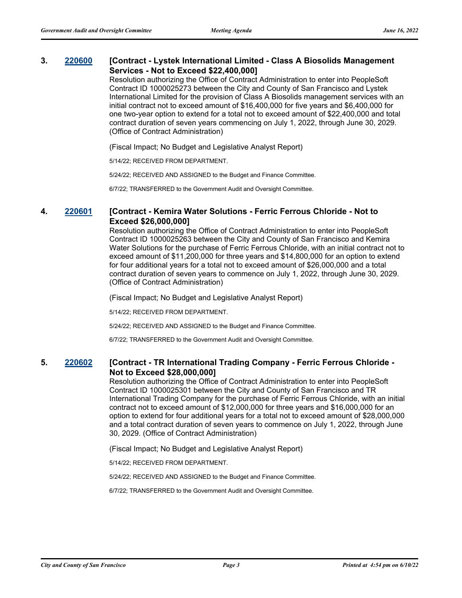## **3. [220600](http://sfgov.legistar.com/gateway.aspx?m=l&id=38792) [Contract - Lystek International Limited - Class A Biosolids Management Services - Not to Exceed \$22,400,000]**

Resolution authorizing the Office of Contract Administration to enter into PeopleSoft Contract ID 1000025273 between the City and County of San Francisco and Lystek International Limited for the provision of Class A Biosolids management services with an initial contract not to exceed amount of \$16,400,000 for five years and \$6,400,000 for one two-year option to extend for a total not to exceed amount of \$22,400,000 and total contract duration of seven years commencing on July 1, 2022, through June 30, 2029. (Office of Contract Administration)

(Fiscal Impact; No Budget and Legislative Analyst Report)

5/14/22; RECEIVED FROM DEPARTMENT.

5/24/22; RECEIVED AND ASSIGNED to the Budget and Finance Committee.

6/7/22; TRANSFERRED to the Government Audit and Oversight Committee.

### **4. [220601](http://sfgov.legistar.com/gateway.aspx?m=l&id=38793) [Contract - Kemira Water Solutions - Ferric Ferrous Chloride - Not to Exceed \$26,000,000]**

Resolution authorizing the Office of Contract Administration to enter into PeopleSoft Contract ID 1000025263 between the City and County of San Francisco and Kemira Water Solutions for the purchase of Ferric Ferrous Chloride, with an initial contract not to exceed amount of \$11,200,000 for three years and \$14,800,000 for an option to extend for four additional years for a total not to exceed amount of \$26,000,000 and a total contract duration of seven years to commence on July 1, 2022, through June 30, 2029. (Office of Contract Administration)

(Fiscal Impact; No Budget and Legislative Analyst Report)

5/14/22; RECEIVED FROM DEPARTMENT.

5/24/22; RECEIVED AND ASSIGNED to the Budget and Finance Committee.

6/7/22; TRANSFERRED to the Government Audit and Oversight Committee.

## **5. [220602](http://sfgov.legistar.com/gateway.aspx?m=l&id=38794) [Contract - TR International Trading Company - Ferric Ferrous Chloride - Not to Exceed \$28,000,000]**

Resolution authorizing the Office of Contract Administration to enter into PeopleSoft Contract ID 1000025301 between the City and County of San Francisco and TR International Trading Company for the purchase of Ferric Ferrous Chloride, with an initial contract not to exceed amount of \$12,000,000 for three years and \$16,000,000 for an option to extend for four additional years for a total not to exceed amount of \$28,000,000 and a total contract duration of seven years to commence on July 1, 2022, through June 30, 2029. (Office of Contract Administration)

(Fiscal Impact; No Budget and Legislative Analyst Report)

5/14/22; RECEIVED FROM DEPARTMENT.

5/24/22; RECEIVED AND ASSIGNED to the Budget and Finance Committee.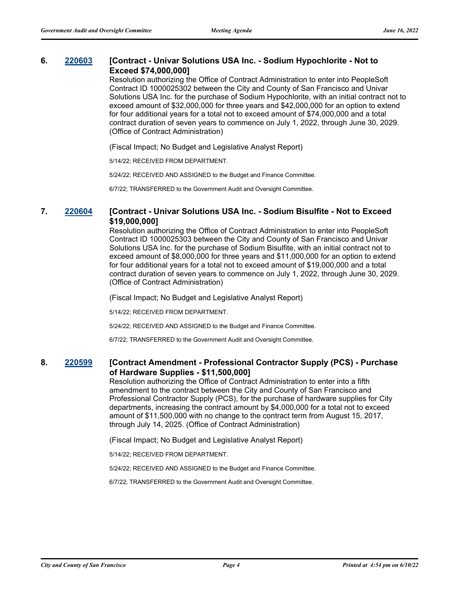## **6. [220603](http://sfgov.legistar.com/gateway.aspx?m=l&id=38795) [Contract - Univar Solutions USA Inc. - Sodium Hypochlorite - Not to Exceed \$74,000,000]**

Resolution authorizing the Office of Contract Administration to enter into PeopleSoft Contract ID 1000025302 between the City and County of San Francisco and Univar Solutions USA Inc. for the purchase of Sodium Hypochlorite, with an initial contract not to exceed amount of \$32,000,000 for three years and \$42,000,000 for an option to extend for four additional years for a total not to exceed amount of \$74,000,000 and a total contract duration of seven years to commence on July 1, 2022, through June 30, 2029. (Office of Contract Administration)

(Fiscal Impact; No Budget and Legislative Analyst Report)

5/14/22; RECEIVED FROM DEPARTMENT.

5/24/22; RECEIVED AND ASSIGNED to the Budget and Finance Committee.

6/7/22; TRANSFERRED to the Government Audit and Oversight Committee.

### **7. [220604](http://sfgov.legistar.com/gateway.aspx?m=l&id=38796) [Contract - Univar Solutions USA Inc. - Sodium Bisulfite - Not to Exceed \$19,000,000]**

Resolution authorizing the Office of Contract Administration to enter into PeopleSoft Contract ID 1000025303 between the City and County of San Francisco and Univar Solutions USA Inc. for the purchase of Sodium Bisulfite, with an initial contract not to exceed amount of \$8,000,000 for three years and \$11,000,000 for an option to extend for four additional years for a total not to exceed amount of \$19,000,000 and a total contract duration of seven years to commence on July 1, 2022, through June 30, 2029. (Office of Contract Administration)

(Fiscal Impact; No Budget and Legislative Analyst Report)

5/14/22; RECEIVED FROM DEPARTMENT.

5/24/22; RECEIVED AND ASSIGNED to the Budget and Finance Committee.

6/7/22; TRANSFERRED to the Government Audit and Oversight Committee.

## **8. [220599](http://sfgov.legistar.com/gateway.aspx?m=l&id=38791) [Contract Amendment - Professional Contractor Supply (PCS) - Purchase of Hardware Supplies - \$11,500,000]**

Resolution authorizing the Office of Contract Administration to enter into a fifth amendment to the contract between the City and County of San Francisco and Professional Contractor Supply (PCS), for the purchase of hardware supplies for City departments, increasing the contract amount by \$4,000,000 for a total not to exceed amount of \$11,500,000 with no change to the contract term from August 15, 2017, through July 14, 2025. (Office of Contract Administration)

(Fiscal Impact; No Budget and Legislative Analyst Report)

5/14/22; RECEIVED FROM DEPARTMENT.

5/24/22; RECEIVED AND ASSIGNED to the Budget and Finance Committee.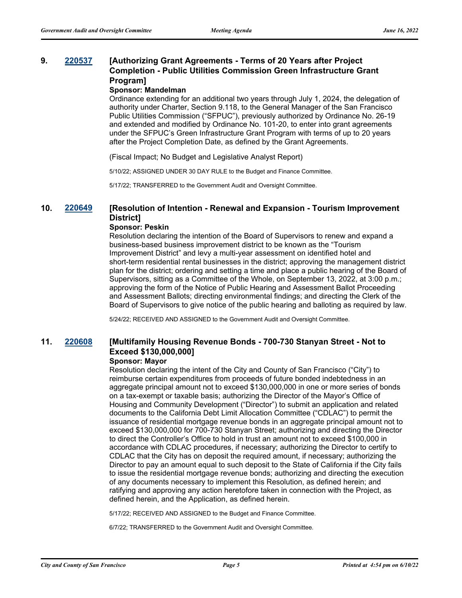### **9. [220537](http://sfgov.legistar.com/gateway.aspx?m=l&id=38729) [Authorizing Grant Agreements - Terms of 20 Years after Project Completion - Public Utilities Commission Green Infrastructure Grant Program]**

#### **Sponsor: Mandelman**

Ordinance extending for an additional two years through July 1, 2024, the delegation of authority under Charter, Section 9.118, to the General Manager of the San Francisco Public Utilities Commission ("SFPUC"), previously authorized by Ordinance No. 26-19 and extended and modified by Ordinance No. 101-20, to enter into grant agreements under the SFPUC's Green Infrastructure Grant Program with terms of up to 20 years after the Project Completion Date, as defined by the Grant Agreements.

(Fiscal Impact; No Budget and Legislative Analyst Report)

5/10/22; ASSIGNED UNDER 30 DAY RULE to the Budget and Finance Committee.

5/17/22; TRANSFERRED to the Government Audit and Oversight Committee.

## **10. [220649](http://sfgov.legistar.com/gateway.aspx?m=l&id=38841) [Resolution of Intention - Renewal and Expansion - Tourism Improvement District]**

#### **Sponsor: Peskin**

Resolution declaring the intention of the Board of Supervisors to renew and expand a business-based business improvement district to be known as the "Tourism Improvement District" and levy a multi-year assessment on identified hotel and short-term residential rental businesses in the district; approving the management district plan for the district; ordering and setting a time and place a public hearing of the Board of Supervisors, sitting as a Committee of the Whole, on September 13, 2022, at 3:00 p.m.; approving the form of the Notice of Public Hearing and Assessment Ballot Proceeding and Assessment Ballots; directing environmental findings; and directing the Clerk of the Board of Supervisors to give notice of the public hearing and balloting as required by law.

5/24/22; RECEIVED AND ASSIGNED to the Government Audit and Oversight Committee.

## **11. [220608](http://sfgov.legistar.com/gateway.aspx?m=l&id=38800) [Multifamily Housing Revenue Bonds - 700-730 Stanyan Street - Not to Exceed \$130,000,000]**

#### **Sponsor: Mayor**

Resolution declaring the intent of the City and County of San Francisco ("City") to reimburse certain expenditures from proceeds of future bonded indebtedness in an aggregate principal amount not to exceed \$130,000,000 in one or more series of bonds on a tax-exempt or taxable basis; authorizing the Director of the Mayor's Office of Housing and Community Development ("Director") to submit an application and related documents to the California Debt Limit Allocation Committee ("CDLAC") to permit the issuance of residential mortgage revenue bonds in an aggregate principal amount not to exceed \$130,000,000 for 700-730 Stanyan Street; authorizing and directing the Director to direct the Controller's Office to hold in trust an amount not to exceed \$100,000 in accordance with CDLAC procedures, if necessary; authorizing the Director to certify to CDLAC that the City has on deposit the required amount, if necessary; authorizing the Director to pay an amount equal to such deposit to the State of California if the City fails to issue the residential mortgage revenue bonds; authorizing and directing the execution of any documents necessary to implement this Resolution, as defined herein; and ratifying and approving any action heretofore taken in connection with the Project, as defined herein, and the Application, as defined herein.

5/17/22; RECEIVED AND ASSIGNED to the Budget and Finance Committee.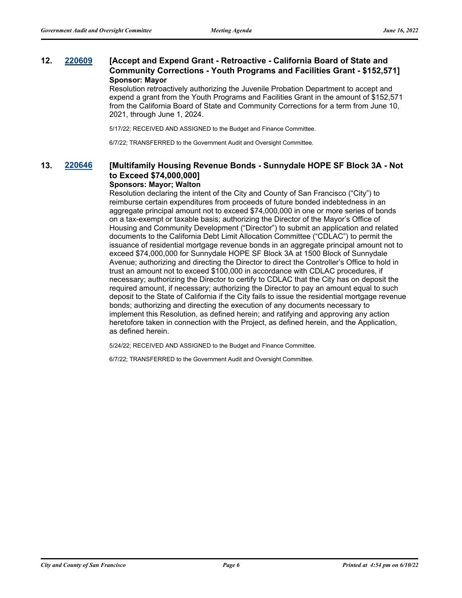## **12. [220609](http://sfgov.legistar.com/gateway.aspx?m=l&id=38801) [Accept and Expend Grant - Retroactive - California Board of State and Community Corrections - Youth Programs and Facilities Grant - \$152,571] Sponsor: Mayor**

Resolution retroactively authorizing the Juvenile Probation Department to accept and expend a grant from the Youth Programs and Facilities Grant in the amount of \$152,571 from the California Board of State and Community Corrections for a term from June 10, 2021, through June 1, 2024.

5/17/22; RECEIVED AND ASSIGNED to the Budget and Finance Committee.

6/7/22; TRANSFERRED to the Government Audit and Oversight Committee.

## **13. [220646](http://sfgov.legistar.com/gateway.aspx?m=l&id=38838) [Multifamily Housing Revenue Bonds - Sunnydale HOPE SF Block 3A - Not to Exceed \$74,000,000]**

#### **Sponsors: Mayor; Walton**

Resolution declaring the intent of the City and County of San Francisco ("City") to reimburse certain expenditures from proceeds of future bonded indebtedness in an aggregate principal amount not to exceed \$74,000,000 in one or more series of bonds on a tax-exempt or taxable basis; authorizing the Director of the Mayor's Office of Housing and Community Development ("Director") to submit an application and related documents to the California Debt Limit Allocation Committee ("CDLAC") to permit the issuance of residential mortgage revenue bonds in an aggregate principal amount not to exceed \$74,000,000 for Sunnydale HOPE SF Block 3A at 1500 Block of Sunnydale Avenue; authorizing and directing the Director to direct the Controller's Office to hold in trust an amount not to exceed \$100,000 in accordance with CDLAC procedures, if necessary; authorizing the Director to certify to CDLAC that the City has on deposit the required amount, if necessary; authorizing the Director to pay an amount equal to such deposit to the State of California if the City fails to issue the residential mortgage revenue bonds; authorizing and directing the execution of any documents necessary to implement this Resolution, as defined herein; and ratifying and approving any action heretofore taken in connection with the Project, as defined herein, and the Application, as defined herein.

5/24/22; RECEIVED AND ASSIGNED to the Budget and Finance Committee.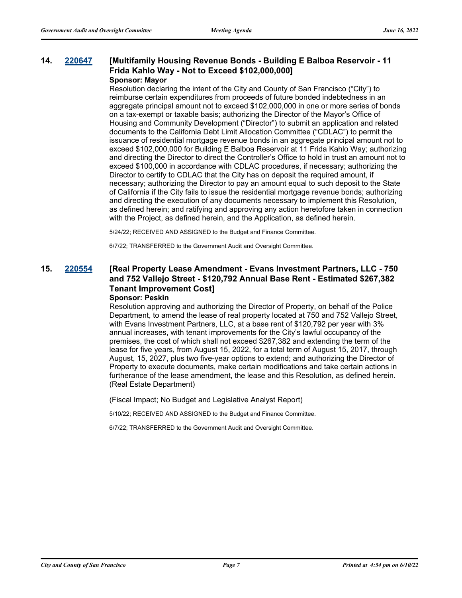# **14. [220647](http://sfgov.legistar.com/gateway.aspx?m=l&id=38839) [Multifamily Housing Revenue Bonds - Building E Balboa Reservoir - 11 Frida Kahlo Way - Not to Exceed \$102,000,000]**

#### **Sponsor: Mayor**

Resolution declaring the intent of the City and County of San Francisco ("City") to reimburse certain expenditures from proceeds of future bonded indebtedness in an aggregate principal amount not to exceed \$102,000,000 in one or more series of bonds on a tax-exempt or taxable basis; authorizing the Director of the Mayor's Office of Housing and Community Development ("Director") to submit an application and related documents to the California Debt Limit Allocation Committee ("CDLAC") to permit the issuance of residential mortgage revenue bonds in an aggregate principal amount not to exceed \$102,000,000 for Building E Balboa Reservoir at 11 Frida Kahlo Way; authorizing and directing the Director to direct the Controller's Office to hold in trust an amount not to exceed \$100,000 in accordance with CDLAC procedures, if necessary; authorizing the Director to certify to CDLAC that the City has on deposit the required amount, if necessary; authorizing the Director to pay an amount equal to such deposit to the State of California if the City fails to issue the residential mortgage revenue bonds; authorizing and directing the execution of any documents necessary to implement this Resolution, as defined herein; and ratifying and approving any action heretofore taken in connection with the Project, as defined herein, and the Application, as defined herein.

5/24/22; RECEIVED AND ASSIGNED to the Budget and Finance Committee.

6/7/22; TRANSFERRED to the Government Audit and Oversight Committee.

## **15. [220554](http://sfgov.legistar.com/gateway.aspx?m=l&id=38746) [Real Property Lease Amendment - Evans Investment Partners, LLC - 750 and 752 Vallejo Street - \$120,792 Annual Base Rent - Estimated \$267,382 Tenant Improvement Cost]**

#### **Sponsor: Peskin**

Resolution approving and authorizing the Director of Property, on behalf of the Police Department, to amend the lease of real property located at 750 and 752 Vallejo Street, with Evans Investment Partners, LLC, at a base rent of \$120,792 per year with 3% annual increases, with tenant improvements for the City's lawful occupancy of the premises, the cost of which shall not exceed \$267,382 and extending the term of the lease for five years, from August 15, 2022, for a total term of August 15, 2017, through August, 15, 2027, plus two five-year options to extend; and authorizing the Director of Property to execute documents, make certain modifications and take certain actions in furtherance of the lease amendment, the lease and this Resolution, as defined herein. (Real Estate Department)

(Fiscal Impact; No Budget and Legislative Analyst Report)

5/10/22; RECEIVED AND ASSIGNED to the Budget and Finance Committee.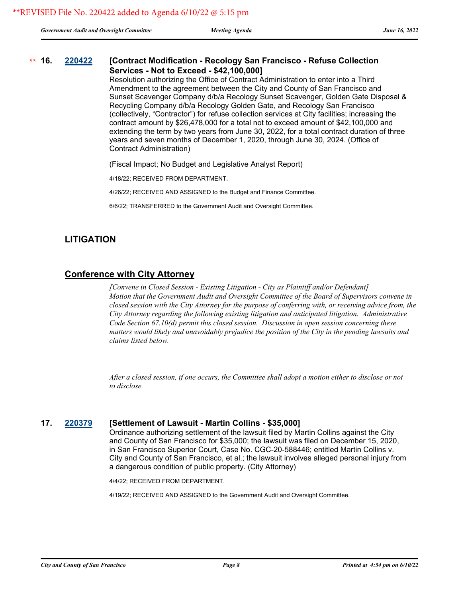*Government Audit and Oversight Committee Meeting Agenda June 16, 2022*

#### **16. [220422](http://sfgov.legistar.com/gateway.aspx?m=l&id=38614) [Contract Modification - Recology San Francisco - Refuse Collection Services - Not to Exceed - \$42,100,000]** \*\* 16.

Resolution authorizing the Office of Contract Administration to enter into a Third Amendment to the agreement between the City and County of San Francisco and Sunset Scavenger Company d/b/a Recology Sunset Scavenger, Golden Gate Disposal & Recycling Company d/b/a Recology Golden Gate, and Recology San Francisco (collectively, "Contractor") for refuse collection services at City facilities; increasing the contract amount by \$26,478,000 for a total not to exceed amount of \$42,100,000 and extending the term by two years from June 30, 2022, for a total contract duration of three years and seven months of December 1, 2020, through June 30, 2024. (Office of Contract Administration)

(Fiscal Impact; No Budget and Legislative Analyst Report)

4/18/22; RECEIVED FROM DEPARTMENT.

4/26/22; RECEIVED AND ASSIGNED to the Budget and Finance Committee.

6/6/22; TRANSFERRED to the Government Audit and Oversight Committee.

## **LITIGATION**

## **Conference with City Attorney**

*[Convene in Closed Session - Existing Litigation - City as Plaintiff and/or Defendant] Motion that the Government Audit and Oversight Committee of the Board of Supervisors convene in closed session with the City Attorney for the purpose of conferring with, or receiving advice from, the City Attorney regarding the following existing litigation and anticipated litigation. Administrative Code Section 67.10(d) permit this closed session. Discussion in open session concerning these matters would likely and unavoidably prejudice the position of the City in the pending lawsuits and claims listed below.*

*After a closed session, if one occurs, the Committee shall adopt a motion either to disclose or not to disclose.*

## **17. [220379](http://sfgov.legistar.com/gateway.aspx?m=l&id=38571) [Settlement of Lawsuit - Martin Collins - \$35,000]**

Ordinance authorizing settlement of the lawsuit filed by Martin Collins against the City and County of San Francisco for \$35,000; the lawsuit was filed on December 15, 2020, in San Francisco Superior Court, Case No. CGC-20-588446; entitled Martin Collins v. City and County of San Francisco, et al.; the lawsuit involves alleged personal injury from a dangerous condition of public property. (City Attorney)

4/4/22; RECEIVED FROM DEPARTMENT.

4/19/22; RECEIVED AND ASSIGNED to the Government Audit and Oversight Committee.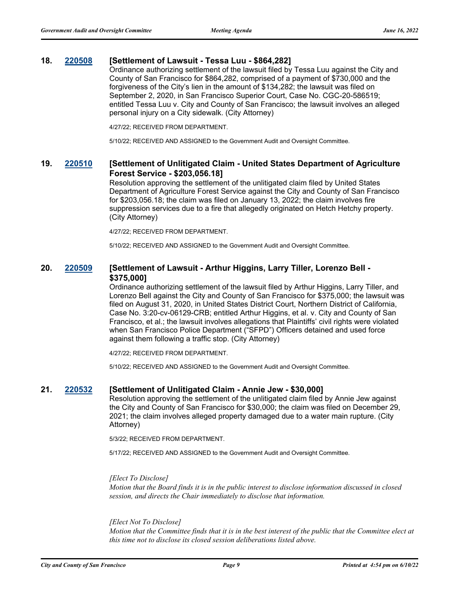### **18. [220508](http://sfgov.legistar.com/gateway.aspx?m=l&id=38700) [Settlement of Lawsuit - Tessa Luu - \$864,282]**

Ordinance authorizing settlement of the lawsuit filed by Tessa Luu against the City and County of San Francisco for \$864,282, comprised of a payment of \$730,000 and the forgiveness of the City's lien in the amount of \$134,282; the lawsuit was filed on September 2, 2020, in San Francisco Superior Court, Case No. CGC-20-586519; entitled Tessa Luu v. City and County of San Francisco; the lawsuit involves an alleged personal injury on a City sidewalk. (City Attorney)

4/27/22; RECEIVED FROM DEPARTMENT.

5/10/22; RECEIVED AND ASSIGNED to the Government Audit and Oversight Committee.

## **19. [220510](http://sfgov.legistar.com/gateway.aspx?m=l&id=38702) [Settlement of Unlitigated Claim - United States Department of Agriculture Forest Service - \$203,056.18]**

Resolution approving the settlement of the unlitigated claim filed by United States Department of Agriculture Forest Service against the City and County of San Francisco for \$203,056.18; the claim was filed on January 13, 2022; the claim involves fire suppression services due to a fire that allegedly originated on Hetch Hetchy property. (City Attorney)

4/27/22; RECEIVED FROM DEPARTMENT.

5/10/22; RECEIVED AND ASSIGNED to the Government Audit and Oversight Committee.

## **20. [220509](http://sfgov.legistar.com/gateway.aspx?m=l&id=38701) [Settlement of Lawsuit - Arthur Higgins, Larry Tiller, Lorenzo Bell - \$375,000]**

Ordinance authorizing settlement of the lawsuit filed by Arthur Higgins, Larry Tiller, and Lorenzo Bell against the City and County of San Francisco for \$375,000; the lawsuit was filed on August 31, 2020, in United States District Court, Northern District of California, Case No. 3:20-cv-06129-CRB; entitled Arthur Higgins, et al. v. City and County of San Francisco, et al.; the lawsuit involves allegations that Plaintiffs' civil rights were violated when San Francisco Police Department ("SFPD") Officers detained and used force against them following a traffic stop. (City Attorney)

4/27/22; RECEIVED FROM DEPARTMENT.

5/10/22; RECEIVED AND ASSIGNED to the Government Audit and Oversight Committee.

#### **21. [220532](http://sfgov.legistar.com/gateway.aspx?m=l&id=38724) [Settlement of Unlitigated Claim - Annie Jew - \$30,000]**

Resolution approving the settlement of the unlitigated claim filed by Annie Jew against the City and County of San Francisco for \$30,000; the claim was filed on December 29, 2021; the claim involves alleged property damaged due to a water main rupture. (City Attorney)

5/3/22; RECEIVED FROM DEPARTMENT.

5/17/22; RECEIVED AND ASSIGNED to the Government Audit and Oversight Committee.

#### *[Elect To Disclose]*

*Motion that the Board finds it is in the public interest to disclose information discussed in closed session, and directs the Chair immediately to disclose that information.*

#### *[Elect Not To Disclose]*

*Motion that the Committee finds that it is in the best interest of the public that the Committee elect at this time not to disclose its closed session deliberations listed above.*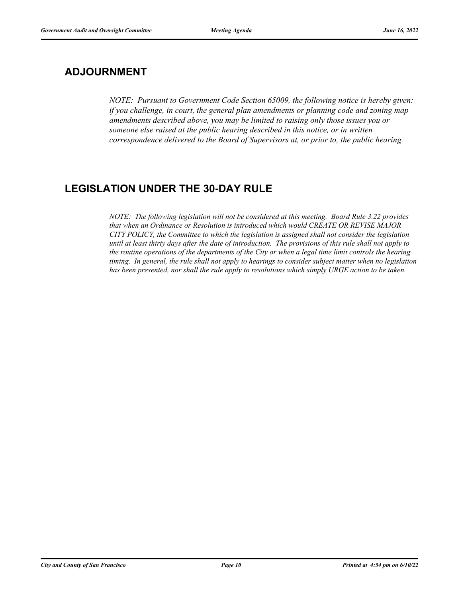# **ADJOURNMENT**

*NOTE: Pursuant to Government Code Section 65009, the following notice is hereby given: if you challenge, in court, the general plan amendments or planning code and zoning map amendments described above, you may be limited to raising only those issues you or someone else raised at the public hearing described in this notice, or in written correspondence delivered to the Board of Supervisors at, or prior to, the public hearing.*

# **LEGISLATION UNDER THE 30-DAY RULE**

*NOTE: The following legislation will not be considered at this meeting. Board Rule 3.22 provides that when an Ordinance or Resolution is introduced which would CREATE OR REVISE MAJOR CITY POLICY, the Committee to which the legislation is assigned shall not consider the legislation until at least thirty days after the date of introduction. The provisions of this rule shall not apply to the routine operations of the departments of the City or when a legal time limit controls the hearing timing. In general, the rule shall not apply to hearings to consider subject matter when no legislation has been presented, nor shall the rule apply to resolutions which simply URGE action to be taken.*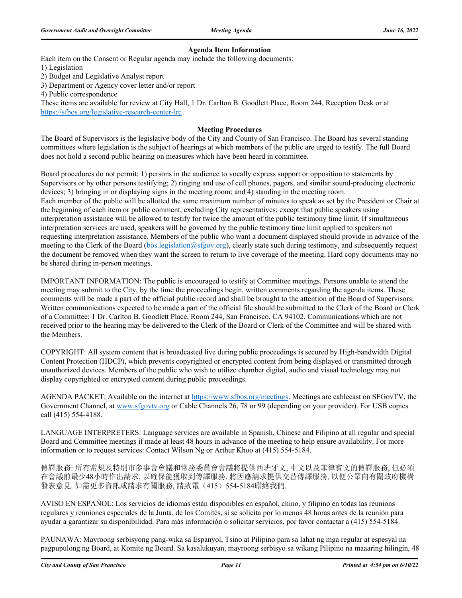#### **Agenda Item Information**

Each item on the Consent or Regular agenda may include the following documents:

1) Legislation

2) Budget and Legislative Analyst report

3) Department or Agency cover letter and/or report

4) Public correspondence

These items are available for review at City Hall, 1 Dr. Carlton B. Goodlett Place, Room 244, Reception Desk or at https://sfbos.org/legislative-research-center-lrc.

#### **Meeting Procedures**

The Board of Supervisors is the legislative body of the City and County of San Francisco. The Board has several standing committees where legislation is the subject of hearings at which members of the public are urged to testify. The full Board does not hold a second public hearing on measures which have been heard in committee.

Board procedures do not permit: 1) persons in the audience to vocally express support or opposition to statements by Supervisors or by other persons testifying; 2) ringing and use of cell phones, pagers, and similar sound-producing electronic devices; 3) bringing in or displaying signs in the meeting room; and 4) standing in the meeting room. Each member of the public will be allotted the same maximum number of minutes to speak as set by the President or Chair at the beginning of each item or public comment, excluding City representatives; except that public speakers using interpretation assistance will be allowed to testify for twice the amount of the public testimony time limit. If simultaneous interpretation services are used, speakers will be governed by the public testimony time limit applied to speakers not requesting interpretation assistance. Members of the public who want a document displayed should provide in advance of the meeting to the Clerk of the Board (bos.legislation@sfgov.org), clearly state such during testimony, and subsequently request the document be removed when they want the screen to return to live coverage of the meeting. Hard copy documents may no be shared during in-person meetings.

IMPORTANT INFORMATION: The public is encouraged to testify at Committee meetings. Persons unable to attend the meeting may submit to the City, by the time the proceedings begin, written comments regarding the agenda items. These comments will be made a part of the official public record and shall be brought to the attention of the Board of Supervisors. Written communications expected to be made a part of the official file should be submitted to the Clerk of the Board or Clerk of a Committee: 1 Dr. Carlton B. Goodlett Place, Room 244, San Francisco, CA 94102. Communications which are not received prior to the hearing may be delivered to the Clerk of the Board or Clerk of the Committee and will be shared with the Members.

COPYRIGHT: All system content that is broadcasted live during public proceedings is secured by High-bandwidth Digital Content Protection (HDCP), which prevents copyrighted or encrypted content from being displayed or transmitted through unauthorized devices. Members of the public who wish to utilize chamber digital, audio and visual technology may not display copyrighted or encrypted content during public proceedings.

AGENDA PACKET: Available on the internet at https://www.sfbos.org/meetings. Meetings are cablecast on SFGovTV, the Government Channel, at www.sfgovtv.org or Cable Channels 26, 78 or 99 (depending on your provider). For USB copies call (415) 554-4188.

LANGUAGE INTERPRETERS: Language services are available in Spanish, Chinese and Filipino at all regular and special Board and Committee meetings if made at least 48 hours in advance of the meeting to help ensure availability. For more information or to request services: Contact Wilson Ng or Arthur Khoo at (415) 554-5184.

傳譯服務: 所有常規及特別市參事會會議和常務委員會會議將提供西班牙文, 中文以及菲律賓文的傳譯服務, 但必須 在會議前最少48小時作出請求, 以確保能獲取到傳譯服務. 將因應請求提供交替傳譯服務, 以便公眾向有關政府機構 發表意見. 如需更多資訊或請求有關服務, 請致電(415) 554-5184聯絡我們.

AVISO EN ESPAÑOL: Los servicios de idiomas están disponibles en español, chino, y filipino en todas las reunions regulares y reuniones especiales de la Junta, de los Comités, si se solicita por lo menos 48 horas antes de la reunión para ayudar a garantizar su disponibilidad. Para más información o solicitar servicios, por favor contactar a (415) 554-5184.

PAUNAWA: Mayroong serbisyong pang-wika sa Espanyol, Tsino at Pilipino para sa lahat ng mga regular at espesyal na pagpupulong ng Board, at Komite ng Board. Sa kasalukuyan, mayroong serbisyo sa wikang Pilipino na maaaring hilingin, 48